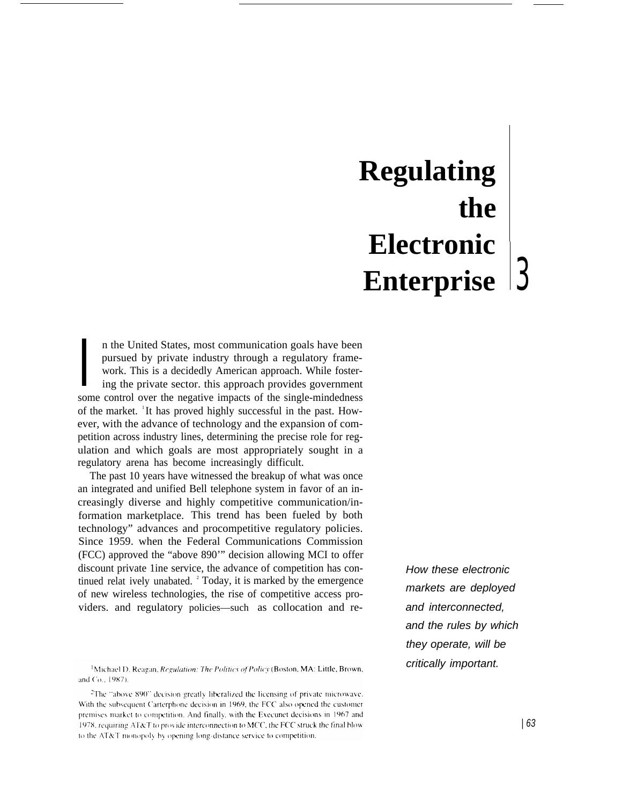# **Regulating the Electronic Enterprise**

pursued by private industry through a regulatory framework. This is a decidedly American approach. While fostering the private sector. this approach provides government some control over the negative impacts of the singlen the United States, most communication goals have been pursued by private industry through a regulatory framework. This is a decidedly American approach. While fostering the private sector. this approach provides government of the market. <sup>1</sup>It has proved highly successful in the past. However, with the advance of technology and the expansion of competition across industry lines, determining the precise role for regulation and which goals are most appropriately sought in a regulatory arena has become increasingly difficult.

The past 10 years have witnessed the breakup of what was once an integrated and unified Bell telephone system in favor of an increasingly diverse and highly competitive communication/information marketplace. This trend has been fueled by both technology" advances and procompetitive regulatory policies. Since 1959. when the Federal Communications Commission (FCC) approved the "above 890'" decision allowing MCI to offer discount private 1ine service, the advance of competition has continued relat ively unabated.  $2^{\circ}$  Today, it is marked by the emergence of new wireless technologies, the rise of competitive access providers. and regulatory policies—such as collocation and re-

<sup>2</sup>The "above 890" decision greatly liberalized the licensing of private microwave. With the subsequent Carterphone decision in 1969, the FCC also opened the customer premises market to competition. And finally, with the Execunet decisions in 1967 and 1978, requiring AT&T to provide interconnection to MCC, the FCC struck the final blow to the AT&T monopoly by opening long-distance service to competition.

How these electronic markets are deployed and interconnected, and the rules by which they operate, will be critically important.

<sup>&</sup>lt;sup>1</sup>Michael D. Reagan, *Regulation: The Politics of Policy* (Boston, MA: Little, Brown, and Co., 1987).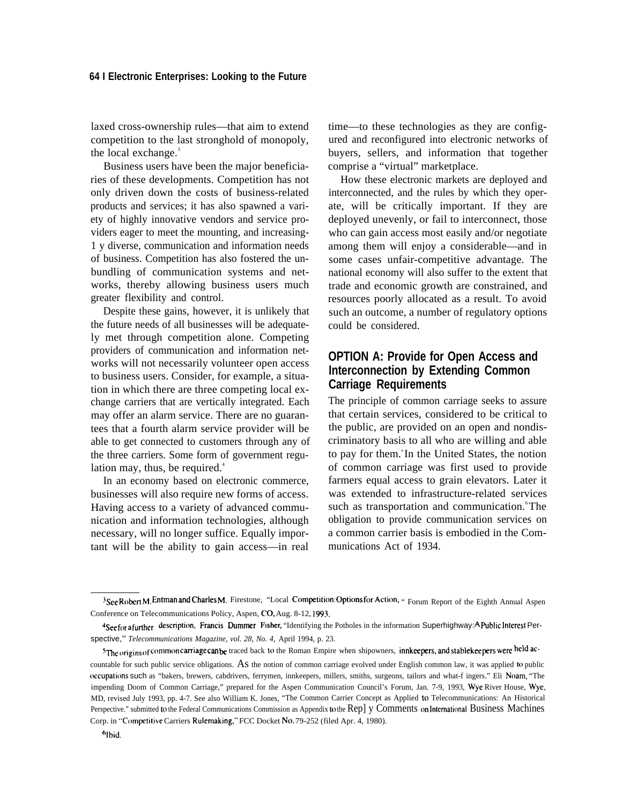### **64 I Electronic Enterprises: Looking to the Future**

laxed cross-ownership rules—that aim to extend competition to the last stronghold of monopoly, the local exchange.<sup>3</sup>

Business users have been the major beneficiaries of these developments. Competition has not only driven down the costs of business-related products and services; it has also spawned a variety of highly innovative vendors and service providers eager to meet the mounting, and increasing-1 y diverse, communication and information needs of business. Competition has also fostered the unbundling of communication systems and networks, thereby allowing business users much greater flexibility and control.

Despite these gains, however, it is unlikely that the future needs of all businesses will be adequately met through competition alone. Competing providers of communication and information networks will not necessarily volunteer open access to business users. Consider, for example, a situation in which there are three competing local exchange carriers that are vertically integrated. Each may offer an alarm service. There are no guarantees that a fourth alarm service provider will be able to get connected to customers through any of the three carriers. Some form of government regulation may, thus, be required. $4$ 

In an economy based on electronic commerce, businesses will also require new forms of access. Having access to a variety of advanced communication and information technologies, although necessary, will no longer suffice. Equally important will be the ability to gain access—in real

time—to these technologies as they are configured and reconfigured into electronic networks of buyers, sellers, and information that together comprise a "virtual" marketplace.

How these electronic markets are deployed and interconnected, and the rules by which they operate, will be critically important. If they are deployed unevenly, or fail to interconnect, those who can gain access most easily and/or negotiate among them will enjoy a considerable—and in some cases unfair-competitive advantage. The national economy will also suffer to the extent that trade and economic growth are constrained, and resources poorly allocated as a result. To avoid such an outcome, a number of regulatory options could be considered.

## **OPTION A: Provide for Open Access and Interconnection by Extending Common Carriage Requirements**

The principle of common carriage seeks to assure that certain services, considered to be critical to the public, are provided on an open and nondiscriminatory basis to all who are willing and able to pay for them.<sup>s</sup>In the United States, the notion of common carriage was first used to provide farmers equal access to grain elevators. Later it was extended to infrastructure-related services such as transportation and communication.<sup>6</sup>The obligation to provide communication services on a common carrier basis is embodied in the Communications Act of 1934.

<sup>3</sup>See Robert M. Entman and Charles M. Firestone, "Local Competition: Options for Action, " Forum Report of the Eighth Annual Aspen Conference on Telecommunications Policy, Aspen, CO, Aug. 8-12, 1993.

<sup>4</sup>See for a further description, Francis Dummer Fisher, "Identifying the Potholes in the information Superhighway: A Public Interest Perspective,'" *Telecommunications Magazine, vol. 28, No. 4,* April 1994, p. 23.

<sup>&</sup>lt;sup>5</sup>The origins of common carriage can be traced back to the Roman Empire when shipowners, innkeepers, and stablekeepers were held ac-

countable for such public service obligations. As the notion of common carriage evolved under English common law, it was applied to public occupations such as "bakers, brewers, cabdrivers, ferrymen, innkeepers, millers, smiths, surgeons, tailors and what-f ingers." Eli Noam, "The impending Doom of Common Carriage," prepared for the Aspen Communication Council's Forum, Jan. 7-9, 1993, Wye River House, Wye, MD, revised July 1993, pp. 4-7. See also William K. Jones, "The Common Carrier Concept as Applied to Telecommunications: An Historical Perspective." submitted to the Federal Communications Commission as Appendix to the Rep] y Comments on International Business Machines Corp. in "Competitive Carriers Rulemaking," FCC Docket No. 79-252 (filed Apr. 4, 1980).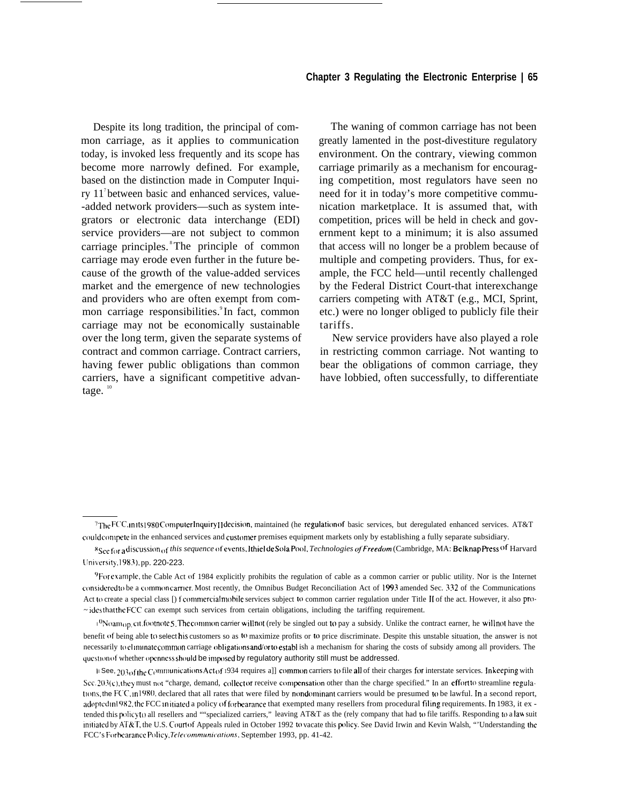Despite its long tradition, the principal of common carriage, as it applies to communication today, is invoked less frequently and its scope has become more narrowly defined. For example, based on the distinction made in Computer Inquiry 11<sup>7</sup>between basic and enhanced services, value- -added network providers—such as system integrators or electronic data interchange (EDI) service providers—are not subject to common carriage principles. <sup>8</sup>The principle of common carriage may erode even further in the future because of the growth of the value-added services market and the emergence of new technologies and providers who are often exempt from common carriage responsibilities.<sup>9</sup>In fact, common carriage may not be economically sustainable over the long term, given the separate systems of contract and common carriage. Contract carriers, having fewer public obligations than common carriers, have a significant competitive advantage.  $10$ 

The waning of common carriage has not been greatly lamented in the post-divestiture regulatory environment. On the contrary, viewing common carriage primarily as a mechanism for encouraging competition, most regulators have seen no need for it in today's more competitive communication marketplace. It is assumed that, with competition, prices will be held in check and government kept to a minimum; it is also assumed that access will no longer be a problem because of multiple and competing providers. Thus, for example, the FCC held—until recently challenged by the Federal District Court-that interexchange carriers competing with AT&T (e.g., MCI, Sprint, etc.) were no longer obliged to publicly file their tariffs.

New service providers have also played a role in restricting common carriage. Not wanting to bear the obligations of common carriage, they have lobbied, often successfully, to differentiate

*Rsec for <sup>a</sup> ~iscusslon ,Jf this sequence ~)fevents, ]thiel de S{)ia* Pool, *Technologies oj'Freedom* (Cambridge, MA: Beiknap press of Harvard University, 1983), pp. 220-223.

<sup>7</sup>The FCC, Inits 1980 Computer Inquiry II decision, maintained (he regulation of basic services, but deregulated enhanced services. AT&T could compete in the enhanced services and customer premises equipment markets only by establishing a fully separate subsidiary.

<sup>&</sup>lt;sup>9</sup>For example, the Cable Act of 1984 explicitly prohibits the regulation of cable as a common carrier or public utility. Nor is the Internet considered to be a common carrier. Most recently, the Omnibus Budget Reconciliation Act of 1993 amended Sec. 332 of the Communications Act to create a special class [) f commercial mobile services subject to common carrier regulation under Title II of the act. However, it also pro- $\sim$  ides that the FCC can exempt such services from certain obligations, including the tariffing requirement.

 $1^{0}$ N $o$ am<sub>O</sub>p, cit. footnote 5. The common carrier will not (rely be singled out to pay a subsidy. Unlike the contract earner, he will not have the benefit of being able to select his customers so as to maximize profits or to price discriminate. Despite this unstable situation, the answer is not necessarily to climinate common carriage obligations and/or to establ ish a mechanism for sharing the costs of subsidy among all providers. The question of whether openness should be imposed by regulatory authority still must be addressed.

II See,  $203.6$  fthe C<sup>ommunications Act of 1934 requires a]] common carriers to file all of their charges for interstate services. In keeping with</sup> Sec.  $203(c)$ , they must not "charge, demand, collect or receive compensation other than the charge specified." In an effort to streamline regulations, the FCC, in 1980, declared that all rates that were filed by nondominant carriers would be presumed to be lawful. In a second report, adopted in 1982, the FCC initiated a policy of forbearance that exempted many resellers from procedural filing requirements. In 1983, it ex tended this policy to all resellers and ""specialized carriers," leaving AT&T as the (rely company that had to file tariffs. Responding to a law suit initiated by AT&T, the U.S. Court of Appeals ruled in October 1992 to vacate this policy. See David Irwin and Kevin Walsh, "'Understanding the FCC's Forbearance Policy, *Telecommunications*, September 1993, pp. 41-42.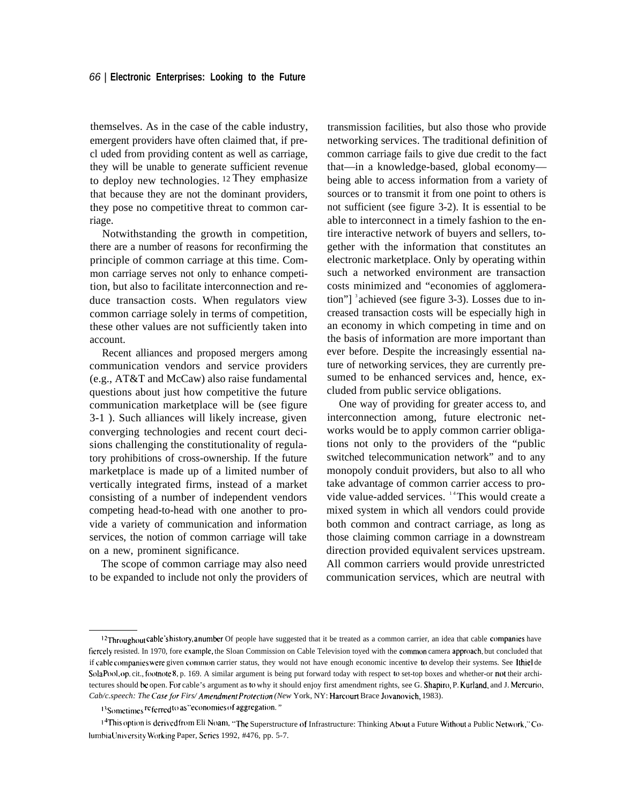themselves. As in the case of the cable industry, emergent providers have often claimed that, if precl uded from providing content as well as carriage, they will be unable to generate sufficient revenue to deploy new technologies. <sup>12</sup>They emphasize that because they are not the dominant providers, they pose no competitive threat to common carriage.

Notwithstanding the growth in competition, there are a number of reasons for reconfirming the principle of common carriage at this time. Common carriage serves not only to enhance competition, but also to facilitate interconnection and reduce transaction costs. When regulators view common carriage solely in terms of competition, these other values are not sufficiently taken into account.

Recent alliances and proposed mergers among communication vendors and service providers (e.g., AT&T and McCaw) also raise fundamental questions about just how competitive the future communication marketplace will be (see figure 3-1 ). Such alliances will likely increase, given converging technologies and recent court decisions challenging the constitutionality of regulatory prohibitions of cross-ownership. If the future marketplace is made up of a limited number of vertically integrated firms, instead of a market consisting of a number of independent vendors competing head-to-head with one another to provide a variety of communication and information services, the notion of common carriage will take on a new, prominent significance.

The scope of common carriage may also need to be expanded to include not only the providers of

transmission facilities, but also those who provide networking services. The traditional definition of common carriage fails to give due credit to the fact that—in a knowledge-based, global economy being able to access information from a variety of sources or to transmit it from one point to others is not sufficient (see figure 3-2). It is essential to be able to interconnect in a timely fashion to the entire interactive network of buyers and sellers, together with the information that constitutes an electronic marketplace. Only by operating within such a networked environment are transaction costs minimized and "economies of agglomeration"]  $\alpha$  achieved (see figure 3-3). Losses due to increased transaction costs will be especially high in an economy in which competing in time and on the basis of information are more important than ever before. Despite the increasingly essential nature of networking services, they are currently presumed to be enhanced services and, hence, excluded from public service obligations.

One way of providing for greater access to, and interconnection among, future electronic networks would be to apply common carrier obligations not only to the providers of the "public switched telecommunication network" and to any monopoly conduit providers, but also to all who take advantage of common carrier access to provide value-added services. <sup>14</sup> This would create a mixed system in which all vendors could provide both common and contract carriage, as long as those claiming common carriage in a downstream direction provided equivalent services upstream. All common carriers would provide unrestricted communication services, which are neutral with

<sup>&</sup>lt;sup>12</sup>Throughout cable's history, anumber Of people have suggested that it be treated as a common carrier, an idea that cable companies have fiercely resisted. In 1970, fore example, the Sloan Commission on Cable Television toyed with the common camera approach, but concluded that if cable companies were given common carrier status, they would not have enough economic incentive to develop their systems. See Ithiel de Sola Pool, op. cit., footnote 8, p. 169. A similar argument is being put forward today with respect to set-top boxes and whether-or not their architectures should be open. For cable's argument as to why it should enjoy first amendment rights, see G. Shapiro, P. Kurland, and J. Mercurio, *Cab/c.speech: The Case for Firs/ Amendment Protection (New York, NY: Harcourt Brace Jovanovich, 1983).* 

<sup>13</sup> Sometimes <sup>re</sup> ferred to as "economies of aggregation."

<sup>1&</sup>lt;sup>4</sup>This option is derived from Eli Noam, "The Superstructure of Infrastructure: Thinking About a Future Without a Public Network," Columbia University Working Paper, Series 1992, #476, pp. 5-7.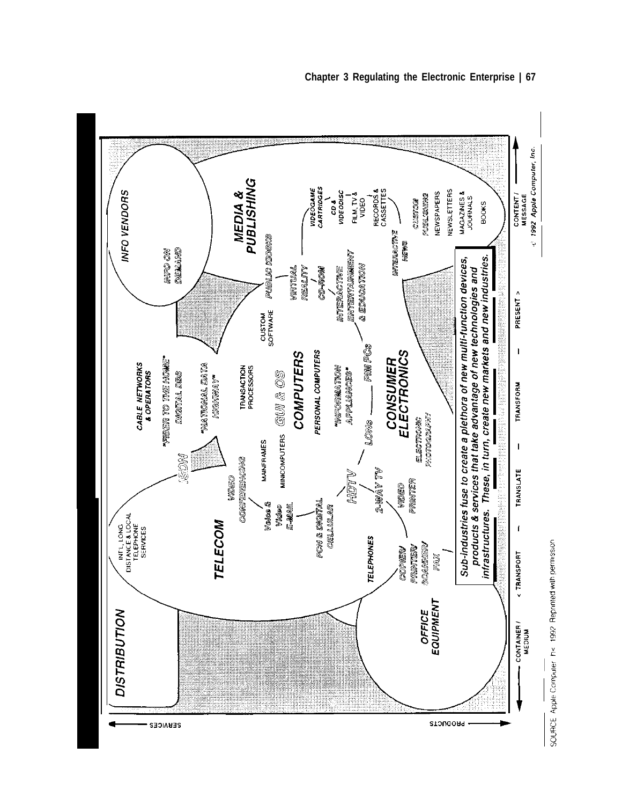



v —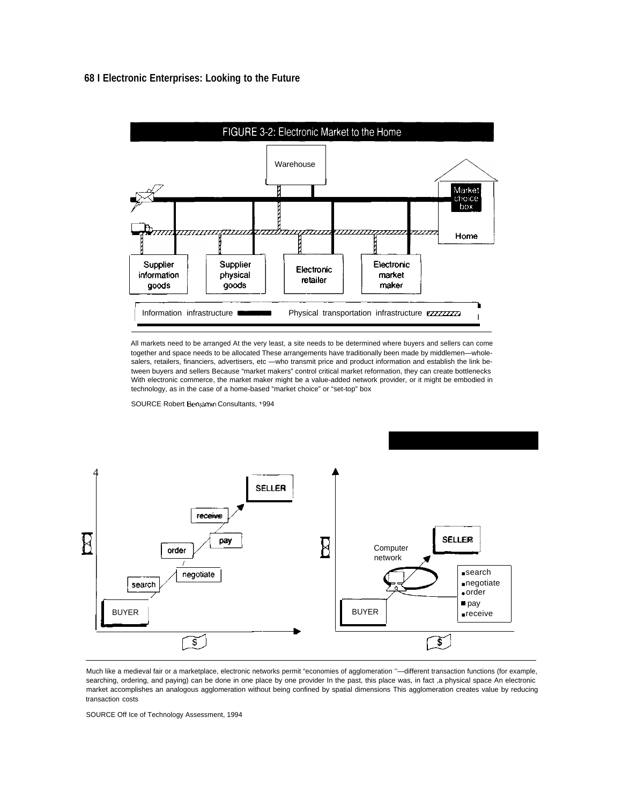### **68 I Electronic Enterprises: Looking to the Future**



All markets need to be arranged At the very least, a site needs to be determined where buyers and sellers can come together and space needs to be allocated These arrangements have traditionally been made by middlemen—wholesalers, retailers, financiers, advertisers, etc - who transmit price and product information and establish the link between buyers and sellers Because "market makers" control critical market reformation, they can create bottlenecks With electronic commerce, the market maker might be a value-added network provider, or it might be embodied in technology, as in the case of a home-based "market choice" or "set-top" box

SOURCE Robert Benjamin Consultants, 1994



Much like a medieval fair or a marketplace, electronic networks permit "economies of agglomeration ''—different transaction functions (for example, searching, ordering, and paying) can be done in one place by one provider In the past, this place was, in fact ,a physical space An electronic market accomplishes an analogous agglomeration without being confined by spatial dimensions This agglomeration creates value by reducing transaction costs

SOURCE Off Ice of Technology Assessment, 1994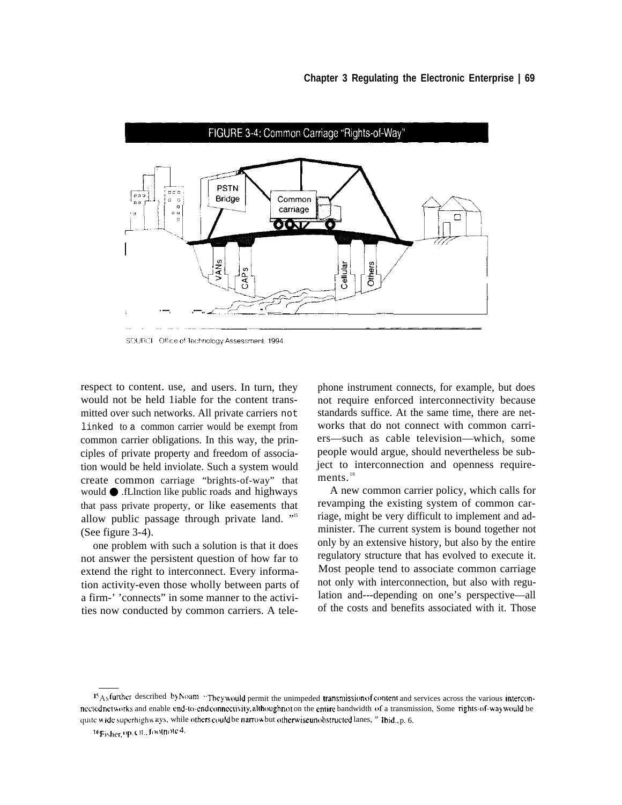

SOURCE: Office of Technology Assessment, 1994.

respect to content. use, and users. In turn, they would not be held 1iable for the content transmitted over such networks. All private carriers not linked to a common carrier would be exempt from common carrier obligations. In this way, the principles of private property and freedom of association would be held inviolate. Such a system would create common carriage "brights-of-way" that would ● .fLlnction like public roads and highways that pass private property, or like easements that allow public passage through private land. "<sup>15</sup> (See figure 3-4).

one problem with such a solution is that it does not answer the persistent question of how far to extend the right to interconnect. Every information activity-even those wholly between parts of a firm-' 'connects" in some manner to the activities now conducted by common carriers. A tele-

phone instrument connects, for example, but does not require enforced interconnectivity because standards suffice. At the same time, there are networks that do not connect with common carriers—such as cable television—which, some people would argue, should nevertheless be subject to interconnection and openness requirements.<sup>16</sup>

A new common carrier policy, which calls for revamping the existing system of common carriage, might be very difficult to implement and administer. The current system is bound together not only by an extensive history, but also by the entire regulatory structure that has evolved to execute it. Most people tend to associate common carriage not only with interconnection, but also with regulation and---depending on one's perspective—all of the costs and benefits associated with it. Those

 $15A_5$ further described by Noam "They would permit the unimpeded transmission of content and services across the various interconnected networks and enable end-to-end connectivity, although not on the entire bandwidth of a transmission, Some rights-of-way would be quite wide superhight ays, while others could be narrow but otherwise unobstructed lanes, " [bid., p. 6.]

<sup>16</sup> Fisher, op. cit., footnote 4.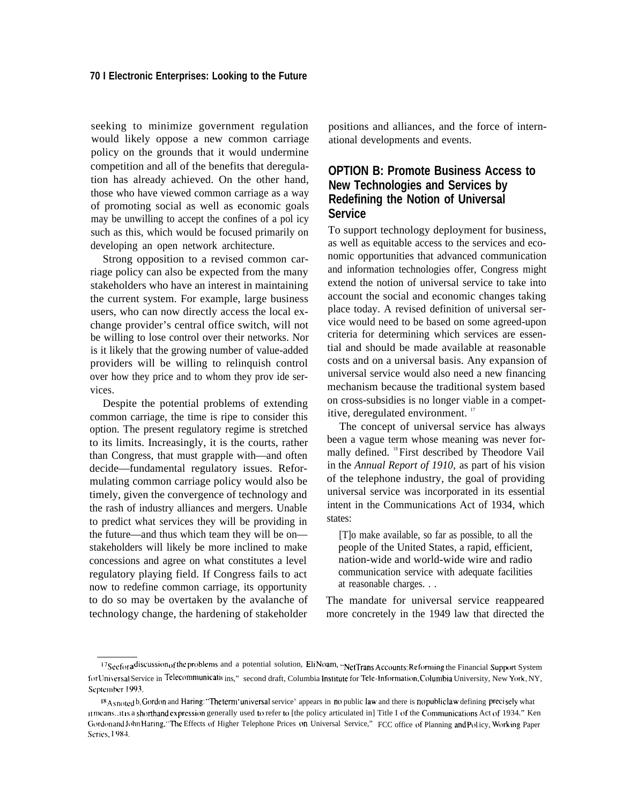seeking to minimize government regulation would likely oppose a new common carriage policy on the grounds that it would undermine competition and all of the benefits that deregulation has already achieved. On the other hand, those who have viewed common carriage as a way of promoting social as well as economic goals may be unwilling to accept the confines of a pol icy such as this, which would be focused primarily on developing an open network architecture.

Strong opposition to a revised common carriage policy can also be expected from the many stakeholders who have an interest in maintaining the current system. For example, large business users, who can now directly access the local exchange provider's central office switch, will not be willing to lose control over their networks. Nor is it likely that the growing number of value-added providers will be willing to relinquish control over how they price and to whom they prov ide services.

Despite the potential problems of extending common carriage, the time is ripe to consider this option. The present regulatory regime is stretched to its limits. Increasingly, it is the courts, rather than Congress, that must grapple with––and often decide—fundamental regulatory issues. Reformulating common carriage policy would also be timely, given the convergence of technology and the rash of industry alliances and mergers. Unable to predict what services they will be providing in the future—and thus which team they will be on stakeholders will likely be more inclined to make concessions and agree on what constitutes a level regulatory playing field. If Congress fails to act now to redefine common carriage, its opportunity to do so may be overtaken by the avalanche of technology change, the hardening of stakeholder positions and alliances, and the force of international developments and events.

## **OPTION B: Promote Business Access to New Technologies and Services by Redefining the Notion of Universal Service**

To support technology deployment for business, as well as equitable access to the services and economic opportunities that advanced communication and information technologies offer, Congress might extend the notion of universal service to take into account the social and economic changes taking place today. A revised definition of universal service would need to be based on some agreed-upon criteria for determining which services are essential and should be made available at reasonable costs and on a universal basis. Any expansion of universal service would also need a new financing mechanism because the traditional system based on cross-subsidies is no longer viable in a competitive, deregulated environment.<sup>17</sup>

The concept of universal service has always been a vague term whose meaning was never formally defined. <sup>18</sup> First described by Theodore Vail in the *Annual Report of 1910,* as part of his vision of the telephone industry, the goal of providing universal service was incorporated in its essential intent in the Communications Act of 1934, which states:

[T]o make available, so far as possible, to all the people of the United States, a rapid, efficient, nation-wide and world-wide wire and radio communication service with adequate facilities at reasonable charges. . .

The mandate for universal service reappeared more concretely in the 1949 law that directed the

<sup>17</sup> Seefor a discussion of the problems and a potential solution, EliNoam, "NetTrans Accounts: Reforming the Financial Support System for Universal Service in Telecommunicati( ins," second draft, Columbia Institute for Tele-Information, Columbia University, New York, NY, September 1993.

<sup>&</sup>lt;sup>18</sup> Asnoted b, Gordon and Haring: "The term 'universal service' appears in no public law and there is no public law defining precisely what itmeans. it is a shorthand expression generally used to refer to [the policy articulated in] Title I of the Communications Act of 1934." Ken Gordonand John Haring, "The Effects of Higher Telephone Prices on Universal Service," FCC office of Planning and Policy, Working Paper Series, 1984.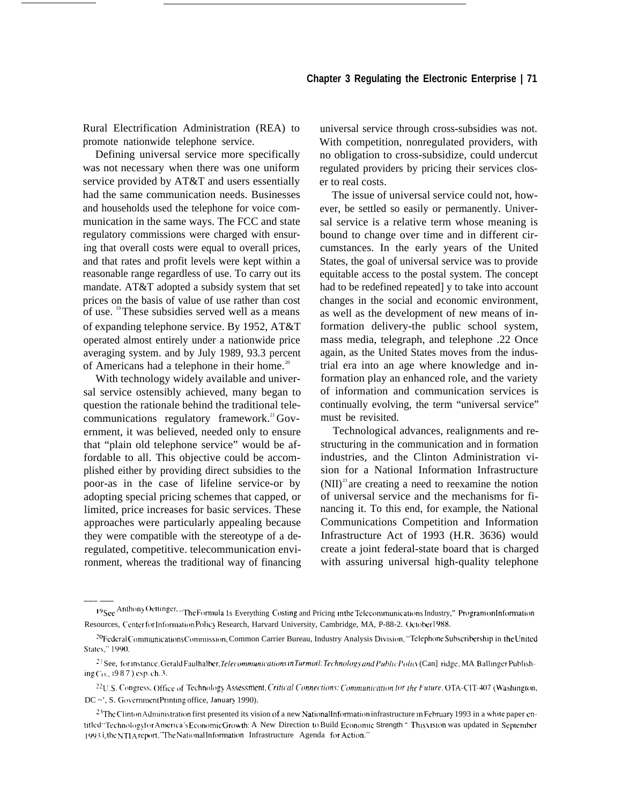Rural Electrification Administration (REA) to promote nationwide telephone service.

Defining universal service more specifically was not necessary when there was one uniform service provided by AT&T and users essentially had the same communication needs. Businesses and households used the telephone for voice communication in the same ways. The FCC and state regulatory commissions were charged with ensuring that overall costs were equal to overall prices, and that rates and profit levels were kept within a reasonable range regardless of use. To carry out its mandate. AT&T adopted a subsidy system that set prices on the basis of value of use rather than cost of use. <sup>19</sup>These subsidies served well as a means of expanding telephone service. By 1952, AT&T operated almost entirely under a nationwide price averaging system. and by July 1989, 93.3 percent of Americans had a telephone in their home.<sup>20</sup>

With technology widely available and universal service ostensibly achieved, many began to question the rationale behind the traditional telecommunications regulatory framework.<sup>21</sup> Government, it was believed, needed only to ensure that "plain old telephone service" would be affordable to all. This objective could be accomplished either by providing direct subsidies to the poor-as in the case of lifeline service-or by adopting special pricing schemes that capped, or limited, price increases for basic services. These approaches were particularly appealing because they were compatible with the stereotype of a deregulated, competitive. telecommunication environment, whereas the traditional way of financing

——— ——

universal service through cross-subsidies was not. With competition, nonregulated providers, with no obligation to cross-subsidize, could undercut regulated providers by pricing their services closer to real costs.

The issue of universal service could not, however, be settled so easily or permanently. Universal service is a relative term whose meaning is bound to change over time and in different circumstances. In the early years of the United States, the goal of universal service was to provide equitable access to the postal system. The concept had to be redefined repeated] y to take into account changes in the social and economic environment, as well as the development of new means of information delivery-the public school system, mass media, telegraph, and telephone .22 Once again, as the United States moves from the industrial era into an age where knowledge and information play an enhanced role, and the variety of information and communication services is continually evolving, the term "universal service" must be revisited.

Technological advances, realignments and restructuring in the communication and in formation industries, and the Clinton Administration vision for a National Information Infrastructure  $(NII)^{23}$  are creating a need to reexamine the notion of universal service and the mechanisms for financing it. To this end, for example, the National Communications Competition and Information Infrastructure Act of 1993 (H.R. 3636) would create a joint federal-state board that is charged with assuring universal high-quality telephone

<sup>19</sup> See Anthony Oettinger. "The Formula 1s Everything Costing and Pricing in the Telecommunications Industry," Program on Information Resources, Center for Information Policy Research, Harvard University, Cambridge, MA, P-88-2. October 1988.

<sup>&</sup>lt;sup>20</sup>Federal Communications Commission, Common Carrier Bureau, Industry Analysis Division, "Telephone Subscribership in the United States," 1990.

<sup>&</sup>lt;sup>21</sup> See, for instance, Gerald Faulhalber, *Telecommunications in Turmoil: Technology and Public Policy* (Can] ridge, MA Ballinger Publishing ( ${c_{0,.}}$  1987), esp. ch. 3.

<sup>&</sup>lt;sup>22</sup>U.S. Congress. Office of Technology Assessment, Critical Connections: Communication for the Future, OTA-CIT-407 (Washington,  $DC \sim$ ', S. Government Printing office, January 1990).

 $2<sup>3</sup>$ The Clinton Administration first presented its vision of a new National Information infrastructure in February 1993 in a white paper entitled "Technologyfor America's Economic Growth: A New Direction to Build Economic Strength " This vision was updated in September 1993 in the NTIA report,'The National Information Infrastructure Agenda for Action."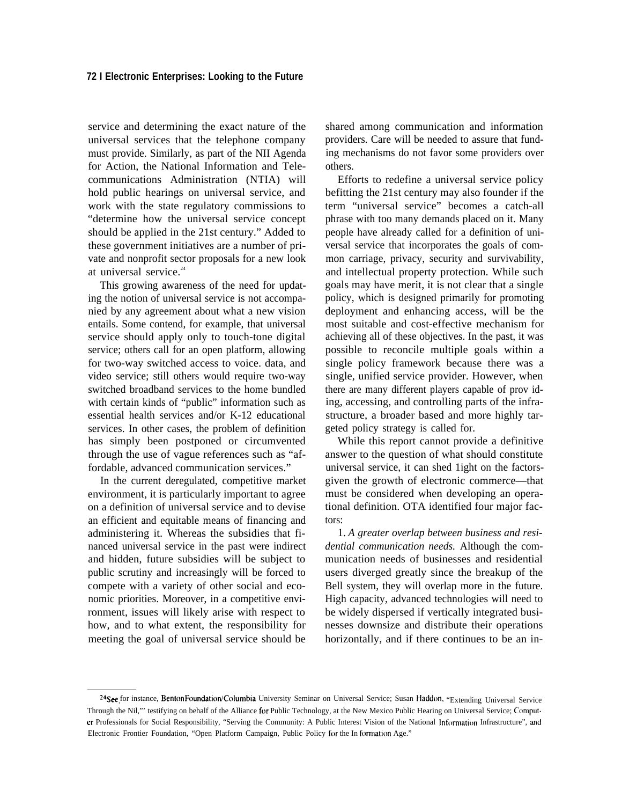service and determining the exact nature of the universal services that the telephone company must provide. Similarly, as part of the NII Agenda for Action, the National Information and Telecommunications Administration (NTIA) will hold public hearings on universal service, and work with the state regulatory commissions to "determine how the universal service concept should be applied in the 21st century." Added to these government initiatives are a number of private and nonprofit sector proposals for a new look at universal service.<sup>24</sup>

This growing awareness of the need for updating the notion of universal service is not accompanied by any agreement about what a new vision entails. Some contend, for example, that universal service should apply only to touch-tone digital service; others call for an open platform, allowing for two-way switched access to voice. data, and video service; still others would require two-way switched broadband services to the home bundled with certain kinds of "public" information such as essential health services and/or K-12 educational services. In other cases, the problem of definition has simply been postponed or circumvented through the use of vague references such as "affordable, advanced communication services."

In the current deregulated, competitive market environment, it is particularly important to agree on a definition of universal service and to devise an efficient and equitable means of financing and administering it. Whereas the subsidies that financed universal service in the past were indirect and hidden, future subsidies will be subject to public scrutiny and increasingly will be forced to compete with a variety of other social and economic priorities. Moreover, in a competitive environment, issues will likely arise with respect to how, and to what extent, the responsibility for meeting the goal of universal service should be

shared among communication and information providers. Care will be needed to assure that funding mechanisms do not favor some providers over others.

Efforts to redefine a universal service policy befitting the 21st century may also founder if the term "universal service" becomes a catch-all phrase with too many demands placed on it. Many people have already called for a definition of universal service that incorporates the goals of common carriage, privacy, security and survivability, and intellectual property protection. While such goals may have merit, it is not clear that a single policy, which is designed primarily for promoting deployment and enhancing access, will be the most suitable and cost-effective mechanism for achieving all of these objectives. In the past, it was possible to reconcile multiple goals within a single policy framework because there was a single, unified service provider. However, when there are many different players capable of prov iding, accessing, and controlling parts of the infrastructure, a broader based and more highly targeted policy strategy is called for.

While this report cannot provide a definitive answer to the question of what should constitute universal service, it can shed 1ight on the factorsgiven the growth of electronic commerce—that must be considered when developing an operational definition. OTA identified four major factors:

1. *A greater overlap between business and residential communication needs.* Although the communication needs of businesses and residential users diverged greatly since the breakup of the Bell system, they will overlap more in the future. High capacity, advanced technologies will need to be widely dispersed if vertically integrated businesses downsize and distribute their operations horizontally, and if there continues to be an in-

<sup>&</sup>lt;sup>24</sup>See for instance, BentonFoundation/Columbia University Seminar on Universal Service; Susan Haddon, "Extending Universal Service Through the Nil,"' testifying on behalf of the Alliance for Public Technology, at the New Mexico Public Hearing on Universal Service; Computer Professionals for Social Responsibility, "Serving the Community: A Public Interest Vision of the National Information Infrastructure", and Electronic Frontier Foundation, "Open Platform Campaign, Public Policy for the In formation Age."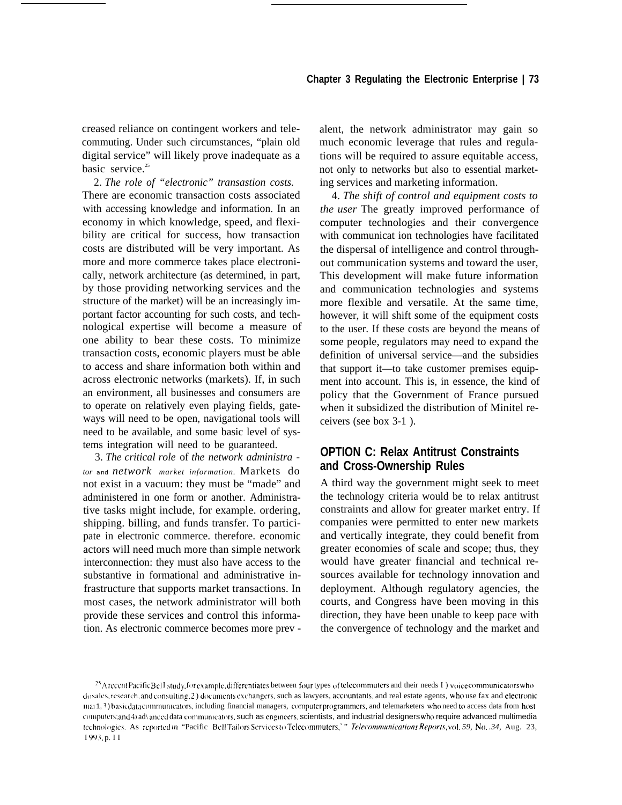creased reliance on contingent workers and telecommuting. Under such circumstances, "plain old digital service" will likely prove inadequate as a basic service.<sup>25</sup>

2. *The role of "electronic" transastion costs.* There are economic transaction costs associated with accessing knowledge and information. In an economy in which knowledge, speed, and flexibility are critical for success, how transaction costs are distributed will be very important. As more and more commerce takes place electronically, network architecture (as determined, in part, by those providing networking services and the structure of the market) will be an increasingly important factor accounting for such costs, and technological expertise will become a measure of one ability to bear these costs. To minimize transaction costs, economic players must be able to access and share information both within and across electronic networks (markets). If, in such an environment, all businesses and consumers are to operate on relatively even playing fields, gateways will need to be open, navigational tools will need to be available, and some basic level of systems integration will need to be guaranteed.

3. *The critical role* of *the network administra tor and network market information.* Markets do not exist in a vacuum: they must be "made" and administered in one form or another. Administrative tasks might include, for example. ordering, shipping. billing, and funds transfer. To participate in electronic commerce. therefore. economic actors will need much more than simple network interconnection: they must also have access to the substantive in formational and administrative infrastructure that supports market transactions. In most cases, the network administrator will both provide these services and control this information. As electronic commerce becomes more prev - alent, the network administrator may gain so much economic leverage that rules and regulations will be required to assure equitable access, not only to networks but also to essential marketing services and marketing information.

4. *The shift of control and equipment costs to the user* The greatly improved performance of computer technologies and their convergence with communicat ion technologies have facilitated the dispersal of intelligence and control throughout communication systems and toward the user, This development will make future information and communication technologies and systems more flexible and versatile. At the same time, however, it will shift some of the equipment costs to the user. If these costs are beyond the means of some people, regulators may need to expand the definition of universal service—and the subsidies that support it—to take customer premises equipment into account. This is, in essence, the kind of policy that the Government of France pursued when it subsidized the distribution of Minitel receivers (see box 3-1 ).

## **OPTION C: Relax Antitrust Constraints and Cross-Ownership Rules**

A third way the government might seek to meet the technology criteria would be to relax antitrust constraints and allow for greater market entry. If companies were permitted to enter new markets and vertically integrate, they could benefit from greater economies of scale and scope; thus, they would have greater financial and technical resources available for technology innovation and deployment. Although regulatory agencies, the courts, and Congress have been moving in this direction, they have been unable to keep pace with the convergence of technology and the market and

<sup>&</sup>lt;sup>25</sup> Arccent Pacific Bel I study, for example, differentiates between four types of telecommuters and their needs I ) voice communicators who dosales, research, and consulting; 2) documents exchangers, such as lawyers, accountants, and real estate agents, who use fax and electronic ma(1, 3) basic data communicators, including financial managers, computer programmers, and telemarketers who need to access data from host computers; and 4) ad\ anced data communicators, such as engineers, scientists, and industrial designers who require advanced multimedia technologies. As reported in "Pacific Bell Tailors Services to Telecommuters," *relecommunications Reports, vol. 59, No. .34, Aug. 23,* I 993. p. I I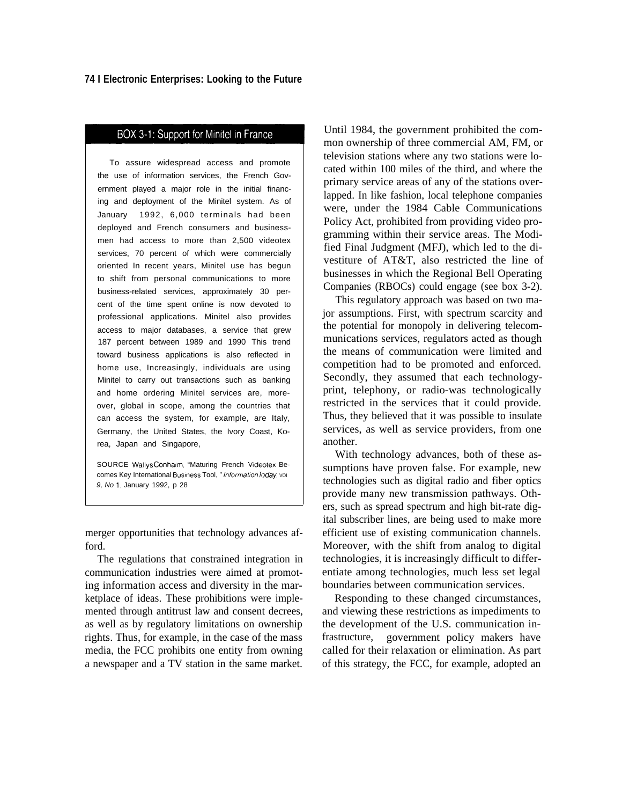## BOX 3-1: Support for Minitel in France

To assure widespread access and promote the use of information services, the French Government played a major role in the initial financing and deployment of the Minitel system. As of January 1992, 6,000 terminals had been deployed and French consumers and businessmen had access to more than 2,500 videotex services, 70 percent of which were commercially oriented In recent years, Minitel use has begun to shift from personal communications to more business-related services, approximately 30 percent of the time spent online is now devoted to professional applications. Minitel also provides access to major databases, a service that grew 187 percent between 1989 and 1990 This trend toward business applications is also reflected in home use, Increasingly, individuals are using Minitel to carry out transactions such as banking and home ordering Minitel services are, moreover, global in scope, among the countries that can access the system, for example, are Italy, Germany, the United States, the Ivory Coast, Korea, Japan and Singapore,

SOURCE Wallys Conhaim, "Maturing French Videotex Becomes Key International Business Tool, "Information *Today*, voi 9, No 1, January 1992, p 28

merger opportunities that technology advances afford.

The regulations that constrained integration in communication industries were aimed at promoting information access and diversity in the marketplace of ideas. These prohibitions were implemented through antitrust law and consent decrees, as well as by regulatory limitations on ownership rights. Thus, for example, in the case of the mass media, the FCC prohibits one entity from owning a newspaper and a TV station in the same market.

Until 1984, the government prohibited the common ownership of three commercial AM, FM, or television stations where any two stations were located within 100 miles of the third, and where the primary service areas of any of the stations overlapped. In like fashion, local telephone companies were, under the 1984 Cable Communications Policy Act, prohibited from providing video programming within their service areas. The Modified Final Judgment (MFJ), which led to the divestiture of AT&T, also restricted the line of businesses in which the Regional Bell Operating Companies (RBOCs) could engage (see box 3-2).

This regulatory approach was based on two major assumptions. First, with spectrum scarcity and the potential for monopoly in delivering telecommunications services, regulators acted as though the means of communication were limited and competition had to be promoted and enforced. Secondly, they assumed that each technologyprint, telephony, or radio-was technologically restricted in the services that it could provide. Thus, they believed that it was possible to insulate services, as well as service providers, from one another.

With technology advances, both of these assumptions have proven false. For example, new technologies such as digital radio and fiber optics provide many new transmission pathways. Others, such as spread spectrum and high bit-rate digital subscriber lines, are being used to make more efficient use of existing communication channels. Moreover, with the shift from analog to digital technologies, it is increasingly difficult to differentiate among technologies, much less set legal boundaries between communication services.

Responding to these changed circumstances, and viewing these restrictions as impediments to the development of the U.S. communication infrastructure, government policy makers have called for their relaxation or elimination. As part of this strategy, the FCC, for example, adopted an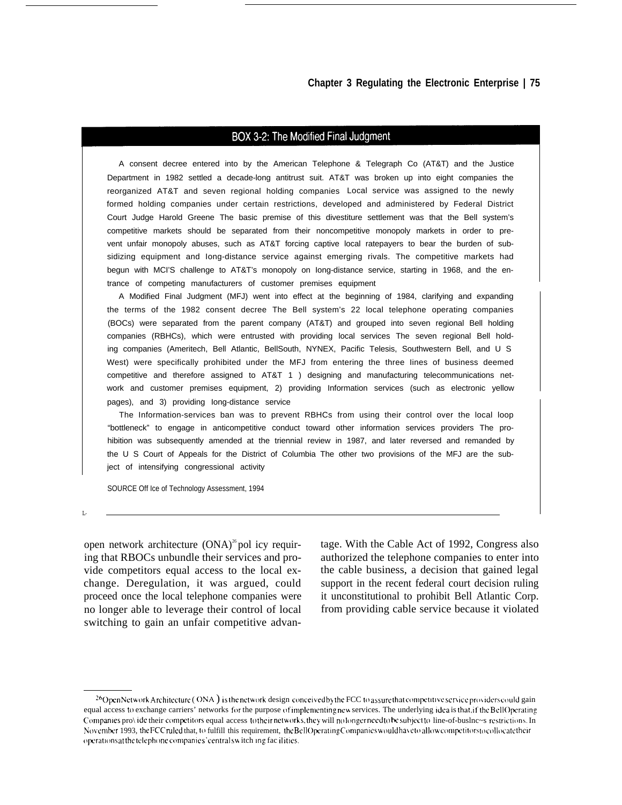#### BOX 3-2: The Modified Final Judgment

A consent decree entered into by the American Telephone & Telegraph Co (AT&T) and the Justice Department in 1982 settled a decade-long antitrust suit. AT&T was broken up into eight companies the reorganized AT&T and seven regional holding companies Local service was assigned to the newly formed holding companies under certain restrictions, developed and administered by Federal District Court Judge Harold Greene The basic premise of this divestiture settlement was that the Bell system's competitive markets should be separated from their noncompetitive monopoly markets in order to prevent unfair monopoly abuses, such as AT&T forcing captive local ratepayers to bear the burden of subsidizing equipment and Iong-distance service against emerging rivals. The competitive markets had begun with MCI'S challenge to AT&T's monopoly on Iong-distance service, starting in 1968, and the entrance of competing manufacturers of customer premises equipment

A Modified Final Judgment (MFJ) went into effect at the beginning of 1984, clarifying and expanding the terms of the 1982 consent decree The Bell system's 22 local telephone operating companies (BOCs) were separated from the parent company (AT&T) and grouped into seven regional Bell holding companies (RBHCs), which were entrusted with providing local services The seven regional Bell holding companies (Ameritech, Bell Atlantic, BellSouth, NYNEX, Pacific Telesis, Southwestern Bell, and U S West) were specifically prohibited under the MFJ from entering the three Iines of business deemed competitive and therefore assigned to AT&T 1 ) designing and manufacturing telecommunications network and customer premises equipment, 2) providing Information services (such as electronic yellow pages), and 3) providing Iong-distance service

The Information-services ban was to prevent RBHCs from using their control over the local loop "bottleneck" to engage in anticompetitive conduct toward other information services providers The prohibition was subsequently amended at the triennial review in 1987, and later reversed and remanded by the U S Court of Appeals for the District of Columbia The other two provisions of the MFJ are the subject of intensifying congressional activity

SOURCE Off Ice of Technology Assessment, 1994

 $\mathbf{L}$ 

ing that RBOCs unbundle their services and pro- authorized the telephone companies to enter into vide competitors equal access to the local ex- the cable business, a decision that gained legal change. Deregulation, it was argued, could support in the recent federal court decision ruling proceed once the local telephone companies were it unconstitutional to prohibit Bell Atlantic Corp. no longer able to leverage their control of local from providing cable service because it violated switching to gain an unfair competitive advan-

open network architecture  $(ONA)^{26}$  pol icy requir- tage. With the Cable Act of 1992, Congress also

<sup>&</sup>lt;sup>26</sup>Open Network Architecture ( ONA ) is the network design conceived by the FCC to assure that competitive service providers could gain equal access to exchange carriers' networks for the purpose of implementing new services. The underlying idea is that, if the Bell Operating Companies pro\ ide their competitors equal access to their networks, they will no longer need to be subject to line-of-buslnc~s restrictions. In November 1993, the FCC ruled that, to fulfill this requirement, the BellOperating Companies would have to allow competitors to collocate their (operations at the telephone companies' central switch ing fac ilities.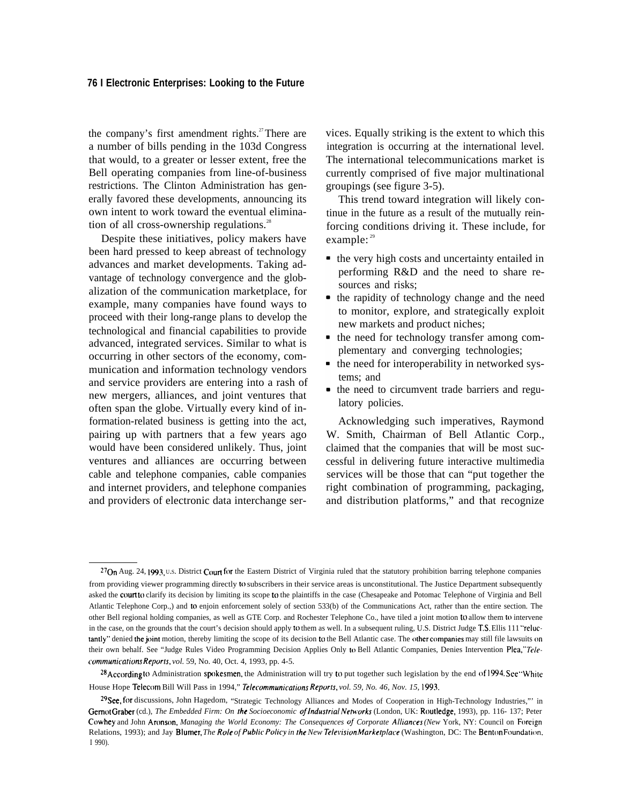#### **76 I Electronic Enterprises: Looking to the Future**

the company's first amendment rights.<sup>27</sup>There are a number of bills pending in the 103d Congress that would, to a greater or lesser extent, free the Bell operating companies from line-of-business restrictions. The Clinton Administration has generally favored these developments, announcing its own intent to work toward the eventual elimination of all cross-ownership regulations. $^{28}$ 

Despite these initiatives, policy makers have been hard pressed to keep abreast of technology advances and market developments. Taking advantage of technology convergence and the globalization of the communication marketplace, for example, many companies have found ways to proceed with their long-range plans to develop the technological and financial capabilities to provide advanced, integrated services. Similar to what is occurring in other sectors of the economy, communication and information technology vendors and service providers are entering into a rash of new mergers, alliances, and joint ventures that often span the globe. Virtually every kind of information-related business is getting into the act, pairing up with partners that a few years ago would have been considered unlikely. Thus, joint ventures and alliances are occurring between cable and telephone companies, cable companies and internet providers, and telephone companies and providers of electronic data interchange services. Equally striking is the extent to which this integration is occurring at the international level. The international telecommunications market is currently comprised of five major multinational groupings (see figure 3-5).

This trend toward integration will likely continue in the future as a result of the mutually reinforcing conditions driving it. These include, for example: <sup>29</sup>

- the very high costs and uncertainty entailed in performing R&D and the need to share resources and risks;
- the rapidity of technology change and the need to monitor, explore, and strategically exploit new markets and product niches;
- the need for technology transfer among complementary and converging technologies;
- the need for interoperability in networked systems; and
- the need to circumvent trade barriers and regulatory policies.

Acknowledging such imperatives, Raymond W. Smith, Chairman of Bell Atlantic Corp., claimed that the companies that will be most successful in delivering future interactive multimedia services will be those that can "put together the right combination of programming, packaging, and distribution platforms," and that recognize

 $^{27}$ On Aug. 24, 1993, U.S. District Court for the Eastern District of Virginia ruled that the statutory prohibition barring telephone companies from providing viewer programming directly to subscribers in their service areas is unconstitutional. The Justice Department subsequently asked the court to clarify its decision by limiting its scope to the plaintiffs in the case (Chesapeake and Potomac Telephone of Virginia and Bell Atlantic Telephone Corp.,) and to enjoin enforcement solely of section 533(b) of the Communications Act, rather than the entire section. The other Bell regional holding companies, as well as GTE Corp. and Rochester Telephone Co., have tiled a joint motion to allow them to intervene in the case, on the grounds that the court's decision should apply to them as well. In a subsequent ruling, U.S. District Judge T.S. Ellis 111 "reluctantly" denied the joint motion, thereby limiting the scope of its decision to the Bell Atlantic case. The other companies may still file lawsuits on their own behalf. See "Judge Rules Video Programming Decision Applies Only to Bell Atlantic Companies, Denies Intervention Plea,'" *Tc/ecommunications Reports, vol.* 59, No. 40, Oct. 4, 1993, pp. 4-5.

<sup>&</sup>lt;sup>28</sup> According to Administration spokesmen, the Administration will try to put together such legislation by the end of 1994. See "White" House Hope Telecom Bill Will Pass in 1994," *Telecommunications Reports, vol. 59, No. 46, Nov. 15*, 1993.

*Z\$'see, for* discussions, John Hagedom, "Strategic Technology Alliances and Modes of Cooperation in High-Technology Industries,"' in Gernot Graber (cd.), The Embedded Firm: On the Socioeconomic of Industrial Networks (London, UK: Routledge, 1993), pp. 116- 137; Peter Cowhey and John Aronson, *Managing the World Economy: The Consequences oj" Corporate A/liances (New* York, NY: Council on Foreign Relations, 1993); and Jay Blumer, The Role of Public Policy in the New Television Marketplace (Washington, DC: The Benton Foundation, I 990).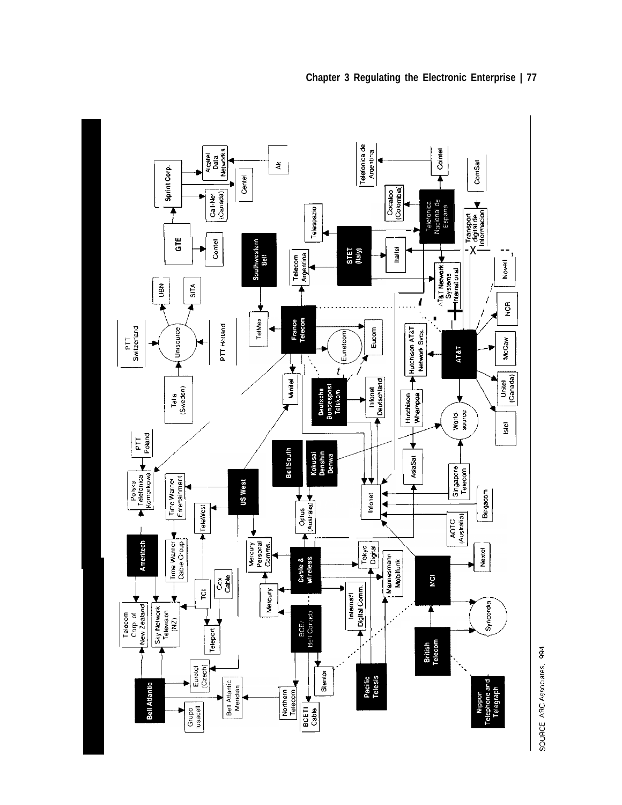



SOURCE ARC Associates. 994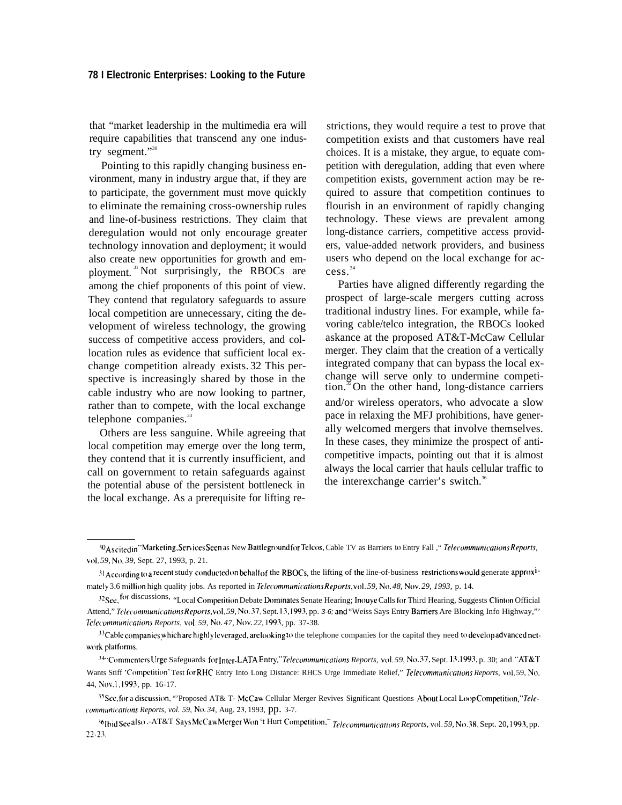that "market leadership in the multimedia era will require capabilities that transcend any one industry segment."30

Pointing to this rapidly changing business environment, many in industry argue that, if they are to participate, the government must move quickly to eliminate the remaining cross-ownership rules and line-of-business restrictions. They claim that deregulation would not only encourage greater technology innovation and deployment; it would also create new opportunities for growth and employment. <sup>31</sup>Not surprisingly, the RBOCs are among the chief proponents of this point of view. They contend that regulatory safeguards to assure local competition are unnecessary, citing the development of wireless technology, the growing success of competitive access providers, and collocation rules as evidence that sufficient local exchange competition already exists. 32 This perspective is increasingly shared by those in the cable industry who are now looking to partner, rather than to compete, with the local exchange telephone companies.<sup>33</sup>

Others are less sanguine. While agreeing that local competition may emerge over the long term, they contend that it is currently insufficient, and call on government to retain safeguards against the potential abuse of the persistent bottleneck in the local exchange. As a prerequisite for lifting restrictions, they would require a test to prove that competition exists and that customers have real choices. It is a mistake, they argue, to equate competition with deregulation, adding that even where competition exists, government action may be required to assure that competition continues to flourish in an environment of rapidly changing technology. These views are prevalent among long-distance carriers, competitive access providers, value-added network providers, and business users who depend on the local exchange for access. 34

Parties have aligned differently regarding the prospect of large-scale mergers cutting across traditional industry lines. For example, while favoring cable/telco integration, the RBOCs looked askance at the proposed AT&T-McCaw Cellular merger. They claim that the creation of a vertically integrated company that can bypass the local exchange will serve only to undermine competition.<sup>35</sup>On the other hand, long-distance carriers and/or wireless operators, who advocate a slow pace in relaxing the MFJ prohibitions, have generally welcomed mergers that involve themselves. In these cases, they minimize the prospect of anticompetitive impacts, pointing out that it is almost always the local carrier that hauls cellular traffic to the interexchange carrier's switch.<sup>36</sup>

WAs cited in "Marketing, Services Seen as New Battleground for Telcos, Cable TV as Barriers to Entry Fall ," Telecommunications Reports, *w)]. 59, N(). 39,* Sept. 27, 1993, p. 21.

 $31$ According to a recent study conducted on behalf of the RBOCs, the lifting of the line-of-business restrictions would generate approx<sup>1-</sup> mately 3.6 million high quality jobs. As reported in *Telecommunications Reports*, vol. 59, No. 48, Nov. 29, 1993, p. 14.

<sup>32</sup> See, for discussions, "Local Competition Debate Dominates Senate Hearing; Inouye Calls for Third Hearing, Suggests Clinton Official Attend," *Telecommunications Reports, vol. 59, No.* 37, Sept. 13, 1993, pp. 3-6; and "Weiss Says Entry Barriers Are Blocking Info Highway,"' *72/ctonlnll~nllation.\$ Reports, vol. 59, N(). 47, Nov. 22, 1993,* pp. 37-38.

 $^{34}$ Cable companies which are highly leveraged, are looking to the telephone companies for the capital they need to develop advanced network platforms.

<sup>&</sup>lt;sup>34.</sup> Commenters Urge Safeguards for Inter-LATA Entry," Telecommunications Reports, vol. 59, No. 37, Sept. 13,1993, p. 30; and "AT&T Wants Stiff 'Competition' Test for RHC Entry Into Long Distance: RHCS Urge Immediate Relief," *Telecommunications Reports*, vol. 59, No. 44, Nov.1, 1993, pp. 16-17.

<sup>&</sup>lt;sup>35</sup> See, for a discussion, "'Proposed AT& T- McCaw Cellular Merger Revives Significant Questions About Local Loop Competition," Tele*communications Reports, vol. 59, No. 34, Aug. 23, 1993, pp. 3-7.* 

<sup>&</sup>lt;sup>36</sup>Ibid See also .-AT&T Says McCaw Merger Won 't Hurt Competition," *Telecommunications Reports, vol. 59, No.* 38, Sept. 20, 1993, pp. 2?-23.